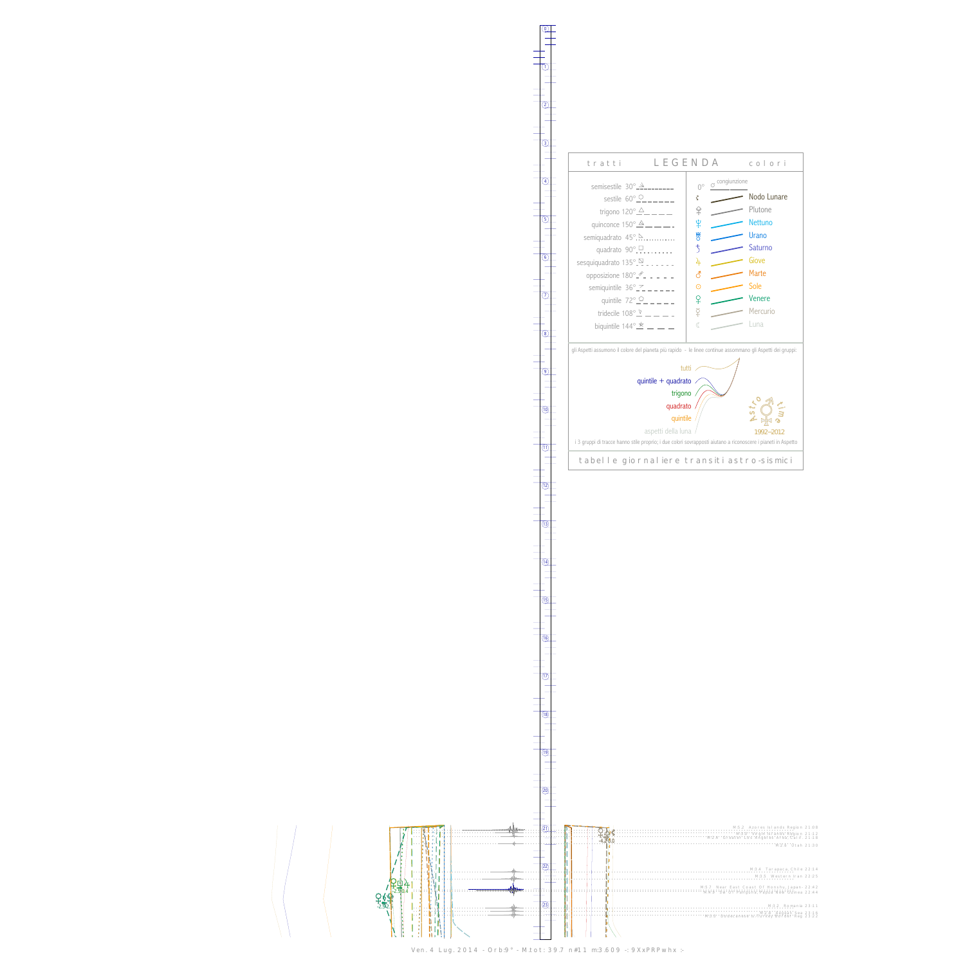